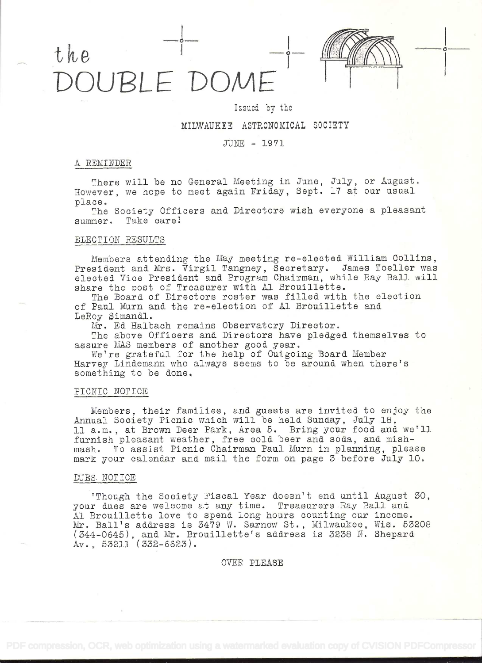# the UBLE DOME



# Issued by the

# MILWAUKEE ASTRONOMICAL SOCIETY

# JTJIE - 1971

#### REMINDER

There will be no General Meeting in June, July, or August. However, we hope to meet again Friday, Sept. 17 at our usual

The Society Officers and Directors wish everyone a pleasant summer. Take care!

# ELECTION RESULTS

Members attending the May meeting re-elected \i11iam Collins, President and Mrs. Virgil Tangney, Secretary. James Toeller was elected. Vice President and Program Chairman, while Ray Ball will share the post of Treasurer with Al Brouillette.

The Board of Directors roster was filled with the election of Paul Murn and the re-election of Al Brouillette and LeRoy Simandl.

Mr. Ed Halbach remains Observatory Director.

The above Officers and Directors have pledged themselves to assure MAS members of another good year.

We're grateful for the help of Outgoing Board Member Harvey Lindemann who always seems to be around when there's something to be done.

#### PICNIC NOTICE

Members, their families, and guests are invited. to enjoy the Annual Society Picnic which will be held. Sunday, July 18, 11 a.m., at Brown Deer Park, Area 5. Bring your food and we'll furnish pleasant weather, free cold beer and soda, and mishmash. To assist Picnic Chairman Paul Mum in planning, please mark your calendar and mail the form on page 3 before July lO.

#### DUES NOTICE

'Though the Society Fiscal Year doesn't end until August 30, your dues are welcome at any time. Treasurers Ray Ball and. Al Brouillette love to spend long hours counting our income. Mr. Ball's address is 3479 W. Sarnow St., Milwaukee, Wis. <sup>53208</sup> (344-0645), and Mr. Brouillette's address is 3238 N. Shepard Av., 53211 (332-6623).

### OVER PLEASE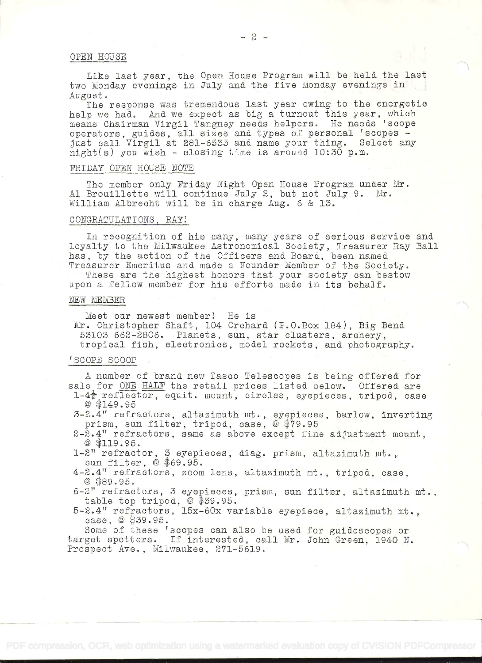#### OFEN HOUSE

Like last year, the Open House Program will be held the last two Monday evenings in July and the five Monday evenings in August.

The response was tremendous last year owing to the energetic help we had. And we expect as big a turnout this year, which means Chairman Virgil Tangney needs helpers, He needs Tscope operators, guides, all sizes and types of personal 'scopes just call Virgil at 281-6533 and name yoar thing. Select any night(s) yon wish - closing time is around 10:30 p.m.

#### FRIDAY OPEN HOUSE NOTE

The member only Friday Night Open House Program under Mr. Al Brouillette will continue July 2, but not July 9. Mr. William Albrecht will be in charge Aug. 6 & 13.

#### CONGRATULATIONS . RAY

In recognition of his many, many years of serious service and loyalty to the Milwaukee Astronomical Society, Treasurer Ray Ball has, by the action of the Officers and Board, been named Treasurer Emeritus and made a Founder Member of the Society.

These are the highest honors that your society can bestow upon a fellow member for his efforts made in its behalf.

#### NEW MEMBER

Meet our newest member! He is

Mr. Christopher Shaft, 104 Orchard (P.O.Box 184), Big Bend. 53103 662-2806. Planets, sun, star clusters, archery, tropical fish, electronics, model rockets, and photography.

#### TSCOPE SCOOP

A namer of brand new Tasco Telescopes is being offered. for sale for ONE HALF the retail prices listed below. Offered are

 $1-4\frac{1}{2}$  reflector, equit. mount, circles, eyepieces, tripod, case © \$149.95

3-2.4" refractors, altazimuth mt., eyepieces, barlow, inverting<br>prism, sun filter, tripod, case,  $\&$  \$79.95

- $2-2.4$ <sup>T</sup> refractors, same as above except fine adjustment mount,  $@$  \$119.95.
- 1-2" refractor, 3 eyepieces, diag. prism, altazimuth mt., sun filter,  $@$  \$69.95.
- 4-2.4" refractors, zoom lens, altazimuth mt., tripod, case, © \$89.95.
- 6\_2n refractors, 3 eyepieces, prism, sun filter, altazimuth mt., table top tripod, @ \$39.95.
- 5-2.4" refractors, 15x-60x variable eyepiece, altazimuth mt., case, @ \$39.95.

Some of these 'scopes can also be used for guidescopes or target spotters. If interested, call Mr. John Green, 1940 N. Prospect Ave., Milwaukee, 271-5619.